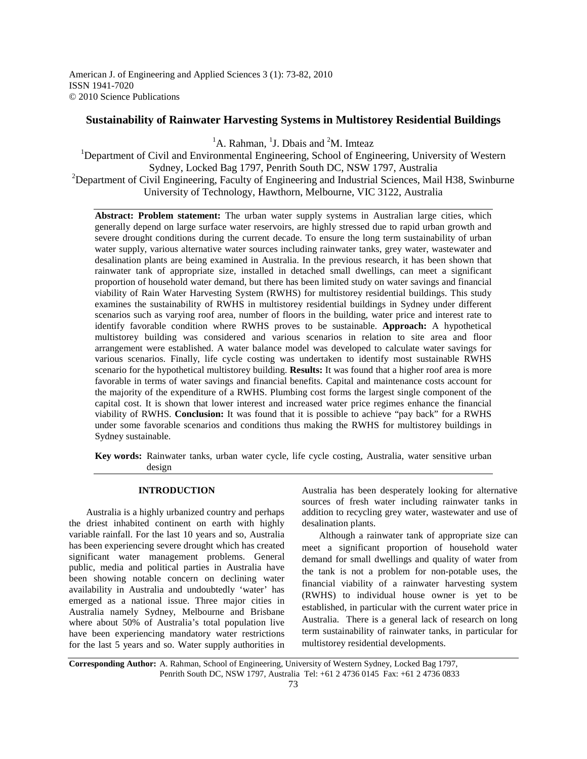American J. of Engineering and Applied Sciences 3 (1): 73-82, 2010 ISSN 1941-7020 © 2010 Science Publications

# **Sustainability of Rainwater Harvesting Systems in Multistorey Residential Buildings**

 ${}^{1}$ A. Rahman,  ${}^{1}$ J. Dbais and  ${}^{2}$ M. Imteaz

<sup>1</sup>Department of Civil and Environmental Engineering, School of Engineering, University of Western Sydney, Locked Bag 1797, Penrith South DC, NSW 1797, Australia <sup>2</sup>Department of Civil Engineering, Faculty of Engineering and Industrial Sciences, Mail H38, Swinburne University of Technology, Hawthorn, Melbourne, VIC 3122, Australia

**Abstract: Problem statement:** The urban water supply systems in Australian large cities, which generally depend on large surface water reservoirs, are highly stressed due to rapid urban growth and severe drought conditions during the current decade. To ensure the long term sustainability of urban water supply, various alternative water sources including rainwater tanks, grey water, wastewater and desalination plants are being examined in Australia. In the previous research, it has been shown that rainwater tank of appropriate size, installed in detached small dwellings, can meet a significant proportion of household water demand, but there has been limited study on water savings and financial viability of Rain Water Harvesting System (RWHS) for multistorey residential buildings. This study examines the sustainability of RWHS in multistorey residential buildings in Sydney under different scenarios such as varying roof area, number of floors in the building, water price and interest rate to identify favorable condition where RWHS proves to be sustainable. **Approach:** A hypothetical multistorey building was considered and various scenarios in relation to site area and floor arrangement were established. A water balance model was developed to calculate water savings for various scenarios. Finally, life cycle costing was undertaken to identify most sustainable RWHS scenario for the hypothetical multistorey building. **Results:** It was found that a higher roof area is more favorable in terms of water savings and financial benefits. Capital and maintenance costs account for the majority of the expenditure of a RWHS. Plumbing cost forms the largest single component of the capital cost. It is shown that lower interest and increased water price regimes enhance the financial viability of RWHS. **Conclusion:** It was found that it is possible to achieve "pay back" for a RWHS under some favorable scenarios and conditions thus making the RWHS for multistorey buildings in Sydney sustainable.

**Key words:** Rainwater tanks, urban water cycle, life cycle costing, Australia, water sensitive urban design

## **INTRODUCTION**

 Australia is a highly urbanized country and perhaps the driest inhabited continent on earth with highly variable rainfall. For the last 10 years and so, Australia has been experiencing severe drought which has created significant water management problems. General public, media and political parties in Australia have been showing notable concern on declining water availability in Australia and undoubtedly 'water' has emerged as a national issue. Three major cities in Australia namely Sydney, Melbourne and Brisbane where about 50% of Australia's total population live have been experiencing mandatory water restrictions for the last 5 years and so. Water supply authorities in

Australia has been desperately looking for alternative sources of fresh water including rainwater tanks in addition to recycling grey water, wastewater and use of desalination plants.

 Although a rainwater tank of appropriate size can meet a significant proportion of household water demand for small dwellings and quality of water from the tank is not a problem for non-potable uses, the financial viability of a rainwater harvesting system (RWHS) to individual house owner is yet to be established, in particular with the current water price in Australia. There is a general lack of research on long term sustainability of rainwater tanks, in particular for multistorey residential developments.

**Corresponding Author:** A. Rahman, School of Engineering, University of Western Sydney, Locked Bag 1797, Penrith South DC, NSW 1797, Australia Tel: +61 2 4736 0145 Fax: +61 2 4736 0833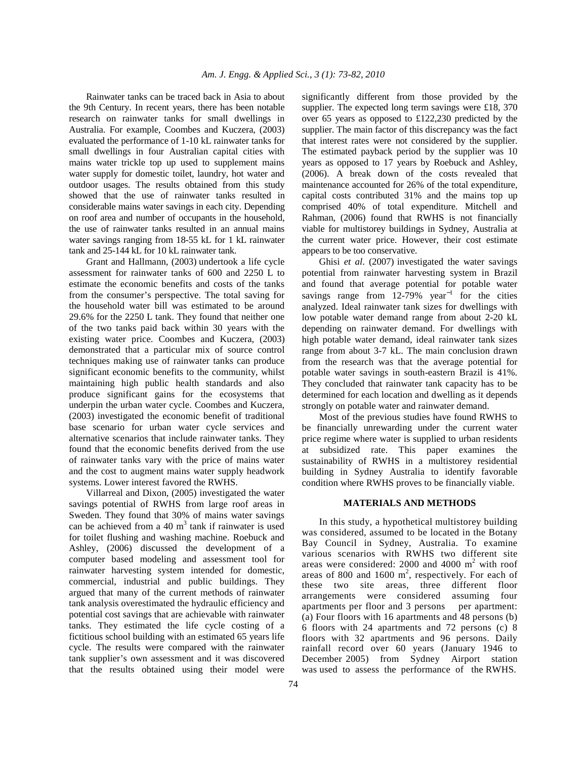Rainwater tanks can be traced back in Asia to about the 9th Century. In recent years, there has been notable research on rainwater tanks for small dwellings in Australia. For example, Coombes and Kuczera, (2003) evaluated the performance of 1-10 kL rainwater tanks for small dwellings in four Australian capital cities with mains water trickle top up used to supplement mains water supply for domestic toilet, laundry, hot water and outdoor usages. The results obtained from this study showed that the use of rainwater tanks resulted in considerable mains water savings in each city. Depending on roof area and number of occupants in the household, the use of rainwater tanks resulted in an annual mains water savings ranging from 18-55 kL for 1 kL rainwater tank and 25-144 kL for 10 kL rainwater tank.

 Grant and Hallmann, (2003) undertook a life cycle assessment for rainwater tanks of 600 and 2250 L to estimate the economic benefits and costs of the tanks from the consumer's perspective. The total saving for the household water bill was estimated to be around 29.6% for the 2250 L tank. They found that neither one of the two tanks paid back within 30 years with the existing water price. Coombes and Kuczera, (2003) demonstrated that a particular mix of source control techniques making use of rainwater tanks can produce significant economic benefits to the community, whilst maintaining high public health standards and also produce significant gains for the ecosystems that underpin the urban water cycle. Coombes and Kuczera, (2003) investigated the economic benefit of traditional base scenario for urban water cycle services and alternative scenarios that include rainwater tanks. They found that the economic benefits derived from the use of rainwater tanks vary with the price of mains water and the cost to augment mains water supply headwork systems. Lower interest favored the RWHS.

 Villarreal and Dixon, (2005) investigated the water savings potential of RWHS from large roof areas in Sweden. They found that 30% of mains water savings can be achieved from a 40  $m<sup>3</sup>$  tank if rainwater is used for toilet flushing and washing machine. Roebuck and Ashley, (2006) discussed the development of a computer based modeling and assessment tool for rainwater harvesting system intended for domestic, commercial, industrial and public buildings. They argued that many of the current methods of rainwater tank analysis overestimated the hydraulic efficiency and potential cost savings that are achievable with rainwater tanks. They estimated the life cycle costing of a fictitious school building with an estimated 65 years life cycle. The results were compared with the rainwater tank supplier's own assessment and it was discovered that the results obtained using their model were

significantly different from those provided by the supplier. The expected long term savings were £18, 370 over 65 years as opposed to £122,230 predicted by the supplier. The main factor of this discrepancy was the fact that interest rates were not considered by the supplier. The estimated payback period by the supplier was 10 years as opposed to 17 years by Roebuck and Ashley, (2006). A break down of the costs revealed that maintenance accounted for 26% of the total expenditure, capital costs contributed 31% and the mains top up comprised 40% of total expenditure. Mitchell and Rahman, (2006) found that RWHS is not financially viable for multistorey buildings in Sydney, Australia at the current water price. However, their cost estimate appears to be too conservative.

 Ghisi *et al*. (2007) investigated the water savings potential from rainwater harvesting system in Brazil and found that average potential for potable water savings range from  $12-79\%$  year<sup>-1</sup> for the cities analyzed. Ideal rainwater tank sizes for dwellings with low potable water demand range from about 2-20 kL depending on rainwater demand. For dwellings with high potable water demand, ideal rainwater tank sizes range from about 3-7 kL. The main conclusion drawn from the research was that the average potential for potable water savings in south-eastern Brazil is 41%. They concluded that rainwater tank capacity has to be determined for each location and dwelling as it depends strongly on potable water and rainwater demand.

 Most of the previous studies have found RWHS to be financially unrewarding under the current water price regime where water is supplied to urban residents at subsidized rate. This paper examines the sustainability of RWHS in a multistorey residential building in Sydney Australia to identify favorable condition where RWHS proves to be financially viable.

#### **MATERIALS AND METHODS**

 In this study, a hypothetical multistorey building was considered, assumed to be located in the Botany Bay Council in Sydney, Australia. To examine various scenarios with RWHS two different site areas were considered: 2000 and 4000  $m^2$  with roof areas of 800 and 1600  $m^2$ , respectively. For each of these two site areas, three different floor arrangements were considered assuming four apartments per floor and 3 persons per apartment: (a) Four floors with 16 apartments and 48 persons (b) 6 floors with 24 apartments and 72 persons (c) 8 floors with 32 apartments and 96 persons. Daily rainfall record over 60 years (January 1946 to December 2005) from Sydney Airport station was used to assess the performance of the RWHS.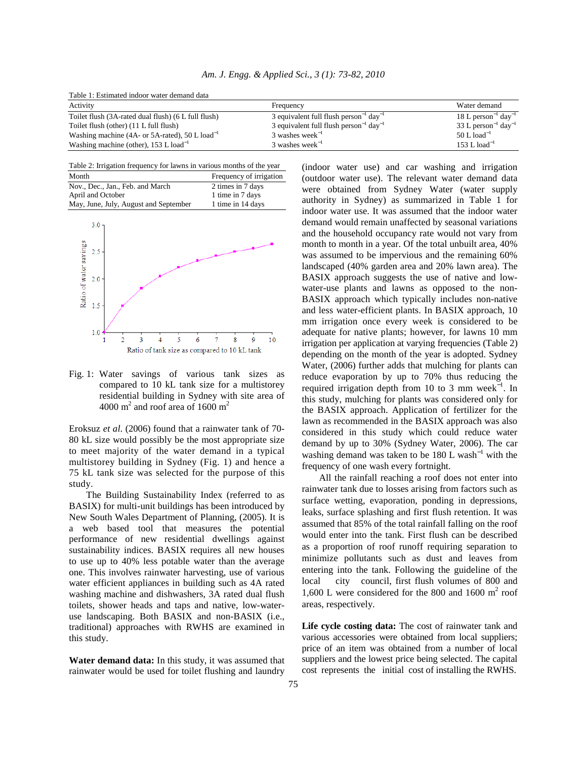|  |  | Am. J. Engg. & Applied Sci., 3 (1): 73-82, 2010 |  |  |  |  |
|--|--|-------------------------------------------------|--|--|--|--|
|--|--|-------------------------------------------------|--|--|--|--|

| Table 1: Estimated indoor water demand data |  |
|---------------------------------------------|--|
|                                             |  |

| Activity                                                   | Frequency                                                      | Water demand                                |
|------------------------------------------------------------|----------------------------------------------------------------|---------------------------------------------|
| Toilet flush (3A-rated dual flush) (6 L full flush)        | 3 equivalent full flush person <sup>-1</sup> day <sup>-1</sup> | 18 L person <sup>-1</sup> day <sup>-1</sup> |
| Toilet flush (other) (11 L full flush)                     | 3 equivalent full flush person <sup>-1</sup> day <sup>-1</sup> | 33 L person <sup>-1</sup> day <sup>-1</sup> |
| Washing machine (4A- or 5A-rated), 50 L load <sup>-1</sup> | $3$ washes week <sup>-1</sup>                                  | $50$ L load <sup>-1</sup>                   |
| Washing machine (other), $153 L load^{-1}$                 | $3$ washes week <sup>-1</sup>                                  | $153$ L load <sup>-1</sup>                  |

Table 2: Irrigation frequency for lawns in various months of the year

| Month                                 | Frequency of irrigation |
|---------------------------------------|-------------------------|
| Nov., Dec., Jan., Feb. and March      | 2 times in 7 days       |
| April and October                     | 1 time in 7 days        |
| May, June, July, August and September | 1 time in 14 days       |



Fig. 1: Water savings of various tank sizes as compared to 10 kL tank size for a multistorey residential building in Sydney with site area of 4000 m<sup>2</sup> and roof area of 1600 m<sup>2</sup>

Eroksuz *et al*. (2006) found that a rainwater tank of 70- 80 kL size would possibly be the most appropriate size to meet majority of the water demand in a typical multistorey building in Sydney (Fig. 1) and hence a 75 kL tank size was selected for the purpose of this study.

 The Building Sustainability Index (referred to as BASIX) for multi-unit buildings has been introduced by New South Wales Department of Planning, (2005). It is a web based tool that measures the potential performance of new residential dwellings against sustainability indices. BASIX requires all new houses to use up to 40% less potable water than the average one. This involves rainwater harvesting, use of various water efficient appliances in building such as 4A rated washing machine and dishwashers, 3A rated dual flush toilets, shower heads and taps and native, low-wateruse landscaping. Both BASIX and non-BASIX (i.e., traditional) approaches with RWHS are examined in this study.

**Water demand data:** In this study, it was assumed that rainwater would be used for toilet flushing and laundry (indoor water use) and car washing and irrigation (outdoor water use). The relevant water demand data were obtained from Sydney Water (water supply authority in Sydney) as summarized in Table 1 for indoor water use. It was assumed that the indoor water demand would remain unaffected by seasonal variations and the household occupancy rate would not vary from month to month in a year. Of the total unbuilt area, 40% was assumed to be impervious and the remaining 60% landscaped (40% garden area and 20% lawn area). The BASIX approach suggests the use of native and lowwater-use plants and lawns as opposed to the non-BASIX approach which typically includes non-native and less water-efficient plants. In BASIX approach, 10 mm irrigation once every week is considered to be adequate for native plants; however, for lawns 10 mm irrigation per application at varying frequencies (Table 2) depending on the month of the year is adopted. Sydney Water, (2006) further adds that mulching for plants can reduce evaporation by up to 70% thus reducing the required irrigation depth from 10 to 3 mm week $^{-1}$ . In this study, mulching for plants was considered only for the BASIX approach. Application of fertilizer for the lawn as recommended in the BASIX approach was also considered in this study which could reduce water demand by up to 30% (Sydney Water, 2006). The car washing demand was taken to be  $180$  L wash<sup>-1</sup> with the frequency of one wash every fortnight.

 All the rainfall reaching a roof does not enter into rainwater tank due to losses arising from factors such as surface wetting, evaporation, ponding in depressions, leaks, surface splashing and first flush retention. It was assumed that 85% of the total rainfall falling on the roof would enter into the tank. First flush can be described as a proportion of roof runoff requiring separation to minimize pollutants such as dust and leaves from entering into the tank. Following the guideline of the local city council, first flush volumes of 800 and 1,600 L were considered for the 800 and 1600  $m^2$  roof areas, respectively.

Life cycle costing data: The cost of rainwater tank and various accessories were obtained from local suppliers; price of an item was obtained from a number of local suppliers and the lowest price being selected. The capital cost represents the initial cost of installing the RWHS.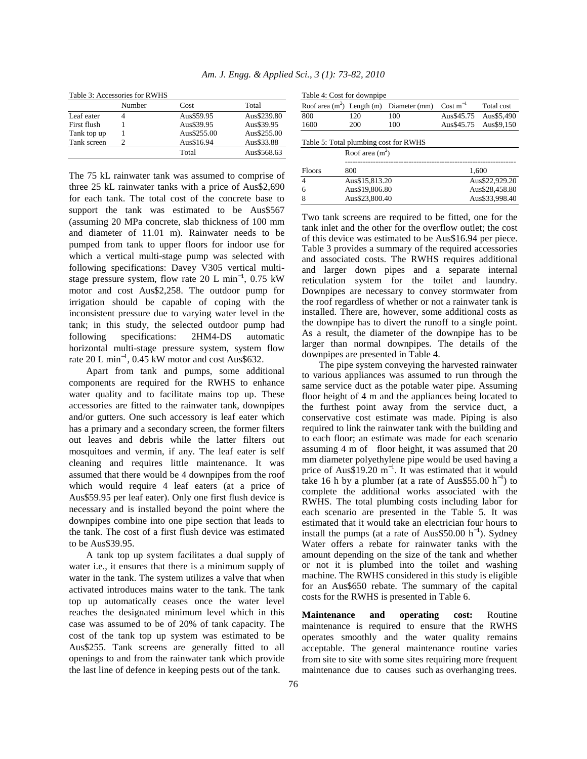|  |  | Am. J. Engg. & Applied Sci., 3 (1): 73-82, 2010 |  |  |  |  |
|--|--|-------------------------------------------------|--|--|--|--|
|--|--|-------------------------------------------------|--|--|--|--|

|             | Table 9. Accessories for KWTID |             |             |
|-------------|--------------------------------|-------------|-------------|
|             | Number                         | Cost        | Total       |
| Leaf eater  |                                | Aus\$59.95  | Aus\$239.80 |
| First flush |                                | Aus\$39.95  | Aus\$39.95  |
| Tank top up |                                | Aus\$255.00 | Aus\$255.00 |
| Tank screen |                                | Aus\$16.94  | Aus\$33.88  |
|             |                                | Total       | Aus\$568.63 |

Table 3: Accessories for RWHS

The 75 kL rainwater tank was assumed to comprise of three 25 kL rainwater tanks with a price of Aus\$2,690 for each tank. The total cost of the concrete base to support the tank was estimated to be Aus\$567 (assuming 20 MPa concrete, slab thickness of 100 mm and diameter of 11.01 m). Rainwater needs to be pumped from tank to upper floors for indoor use for which a vertical multi-stage pump was selected with following specifications: Davey V305 vertical multistage pressure system, flow rate 20 L min<sup>-1</sup>, 0.75 kW motor and cost Aus\$2,258. The outdoor pump for irrigation should be capable of coping with the inconsistent pressure due to varying water level in the tank; in this study, the selected outdoor pump had following specifications: 2HM4-DS automatic horizontal multi-stage pressure system, system flow rate 20 L min<sup>-1</sup>, 0.45 kW motor and cost Aus\$632.

 Apart from tank and pumps, some additional components are required for the RWHS to enhance water quality and to facilitate mains top up. These accessories are fitted to the rainwater tank, downpipes and/or gutters. One such accessory is leaf eater which has a primary and a secondary screen, the former filters out leaves and debris while the latter filters out mosquitoes and vermin, if any. The leaf eater is self cleaning and requires little maintenance. It was assumed that there would be 4 downpipes from the roof which would require 4 leaf eaters (at a price of Aus\$59.95 per leaf eater). Only one first flush device is necessary and is installed beyond the point where the downpipes combine into one pipe section that leads to the tank. The cost of a first flush device was estimated to be Aus\$39.95.

 A tank top up system facilitates a dual supply of water i.e., it ensures that there is a minimum supply of water in the tank. The system utilizes a valve that when activated introduces mains water to the tank. The tank top up automatically ceases once the water level reaches the designated minimum level which in this case was assumed to be of 20% of tank capacity. The cost of the tank top up system was estimated to be Aus\$255. Tank screens are generally fitted to all openings to and from the rainwater tank which provide the last line of defence in keeping pests out of the tank.

| Table 4: Cost for downpipe |  |  |  |
|----------------------------|--|--|--|
|                            |  |  |  |

|        | Roof area $(m^2)$ Length $(m)$        | Diameter (mm) | $Cost m^{-1}$ | Total cost     |
|--------|---------------------------------------|---------------|---------------|----------------|
| 800    | 120                                   | 100           | Aus\$45.75    | Aus\$5,490     |
| 1600   | 200                                   | 100           | Aus\$45.75    | Aus\$9,150     |
|        | Table 5: Total plumbing cost for RWHS |               |               |                |
|        | Roof area $(m2)$                      |               |               |                |
| Floors | 800                                   |               |               | 1,600          |
| 4      | Aus\$15,813.20                        |               |               | Aus\$22,929.20 |
| 6      | Aus\$19,806.80                        |               |               | Aus\$28,458.80 |

Two tank screens are required to be fitted, one for the tank inlet and the other for the overflow outlet; the cost of this device was estimated to be Aus\$16.94 per piece. Table 3 provides a summary of the required accessories and associated costs. The RWHS requires additional and larger down pipes and a separate internal reticulation system for the toilet and laundry. Downpipes are necessary to convey stormwater from the roof regardless of whether or not a rainwater tank is installed. There are, however, some additional costs as the downpipe has to divert the runoff to a single point. As a result, the diameter of the downpipe has to be larger than normal downpipes. The details of the downpipes are presented in Table 4.

 The pipe system conveying the harvested rainwater to various appliances was assumed to run through the same service duct as the potable water pipe. Assuming floor height of 4 m and the appliances being located to the furthest point away from the service duct, a conservative cost estimate was made. Piping is also required to link the rainwater tank with the building and to each floor; an estimate was made for each scenario assuming 4 m of floor height, it was assumed that 20 mm diameter polyethylene pipe would be used having a price of Aus\$19.20 m<sup>-1</sup>. It was estimated that it would take 16 h by a plumber (at a rate of Aus\$55.00  $h^{-1}$ ) to complete the additional works associated with the RWHS. The total plumbing costs including labor for each scenario are presented in the Table 5. It was estimated that it would take an electrician four hours to install the pumps (at a rate of Aus\$50.00  $h^{-1}$ ). Sydney Water offers a rebate for rainwater tanks with the amount depending on the size of the tank and whether or not it is plumbed into the toilet and washing machine. The RWHS considered in this study is eligible for an Aus\$650 rebate. The summary of the capital costs for the RWHS is presented in Table 6.

**Maintenance and operating cost:** Routine maintenance is required to ensure that the RWHS operates smoothly and the water quality remains acceptable. The general maintenance routine varies from site to site with some sites requiring more frequent maintenance due to causes such as overhanging trees.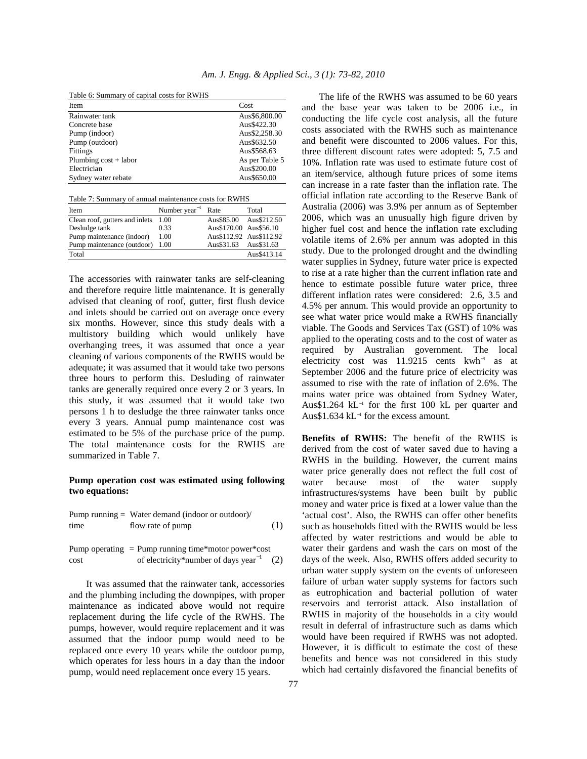| Item                    | Cost           |
|-------------------------|----------------|
| Rainwater tank          | Aus\$6,800.00  |
| Concrete base           | Aus\$422.30    |
| Pump (indoor)           | Aus\$2,258.30  |
| Pump (outdoor)          | Aus\$632.50    |
| Fittings                | Aus\$568.63    |
| Plumbing $cost + labor$ | As per Table 5 |
| Electrician             | Aus\$200.00    |
| Sydney water rebate     | Aus\$650.00    |

Table 7: Summary of annual maintenance costs for RWHS

| Item                            | Number $year^{-1}$ Rate |                        | Total                   |
|---------------------------------|-------------------------|------------------------|-------------------------|
| Clean roof, gutters and inlets  | 1.00                    |                        | Aus\$85.00 Aus\$212.50  |
| Desludge tank                   | 0.33                    | Aus\$170.00 Aus\$56.10 |                         |
| Pump maintenance (indoor)       | 1.00                    |                        | Aus\$112.92 Aus\$112.92 |
| Pump maintenance (outdoor) 1.00 |                         | Aus\$31.63 Aus\$31.63  |                         |
| Total                           |                         |                        | Aus\$413.14             |

The accessories with rainwater tanks are self-cleaning and therefore require little maintenance. It is generally advised that cleaning of roof, gutter, first flush device and inlets should be carried out on average once every six months. However, since this study deals with a multistory building which would unlikely have overhanging trees, it was assumed that once a year cleaning of various components of the RWHS would be adequate; it was assumed that it would take two persons three hours to perform this. Desluding of rainwater tanks are generally required once every 2 or 3 years. In this study, it was assumed that it would take two persons 1 h to desludge the three rainwater tanks once every 3 years. Annual pump maintenance cost was estimated to be 5% of the purchase price of the pump. The total maintenance costs for the RWHS are summarized in Table 7.

## **Pump operation cost was estimated using following two equations:**

|      | Pump running $=$ Water demand (indoor or outdoor)/    |     |
|------|-------------------------------------------------------|-----|
| time | flow rate of pump                                     | (1) |
|      | Pump operating $=$ Pump running time*motor power*cost |     |

| cost |  |  | of electricity*number of days year <sup>-1</sup> | (2) |
|------|--|--|--------------------------------------------------|-----|

 It was assumed that the rainwater tank, accessories and the plumbing including the downpipes, with proper maintenance as indicated above would not require replacement during the life cycle of the RWHS. The pumps, however, would require replacement and it was assumed that the indoor pump would need to be replaced once every 10 years while the outdoor pump, which operates for less hours in a day than the indoor pump, would need replacement once every 15 years.

 The life of the RWHS was assumed to be 60 years and the base year was taken to be 2006 i.e., in conducting the life cycle cost analysis, all the future costs associated with the RWHS such as maintenance and benefit were discounted to 2006 values. For this, three different discount rates were adopted: 5, 7.5 and 10%. Inflation rate was used to estimate future cost of an item/service, although future prices of some items can increase in a rate faster than the inflation rate. The official inflation rate according to the Reserve Bank of Australia (2006) was 3.9% per annum as of September 2006, which was an unusually high figure driven by higher fuel cost and hence the inflation rate excluding volatile items of 2.6% per annum was adopted in this study. Due to the prolonged drought and the dwindling water supplies in Sydney, future water price is expected to rise at a rate higher than the current inflation rate and hence to estimate possible future water price, three different inflation rates were considered: 2.6, 3.5 and 4.5% per annum. This would provide an opportunity to see what water price would make a RWHS financially viable. The Goods and Services Tax (GST) of 10% was applied to the operating costs and to the cost of water as required by Australian government. The local electricity cost was 11.9215 cents kwh<sup>-1</sup> as at September 2006 and the future price of electricity was assumed to rise with the rate of inflation of 2.6%. The mains water price was obtained from Sydney Water, Aus\$1.264 kL−<sup>1</sup> for the first 100 kL per quarter and Aus\$1.634 kL−<sup>1</sup> for the excess amount.

**Benefits of RWHS:** The benefit of the RWHS is derived from the cost of water saved due to having a RWHS in the building. However, the current mains water price generally does not reflect the full cost of water because most of the water supply infrastructures/systems have been built by public money and water price is fixed at a lower value than the 'actual cost'. Also, the RWHS can offer other benefits such as households fitted with the RWHS would be less affected by water restrictions and would be able to water their gardens and wash the cars on most of the days of the week. Also, RWHS offers added security to urban water supply system on the events of unforeseen failure of urban water supply systems for factors such as eutrophication and bacterial pollution of water reservoirs and terrorist attack. Also installation of RWHS in majority of the households in a city would result in deferral of infrastructure such as dams which would have been required if RWHS was not adopted. However, it is difficult to estimate the cost of these benefits and hence was not considered in this study which had certainly disfavored the financial benefits of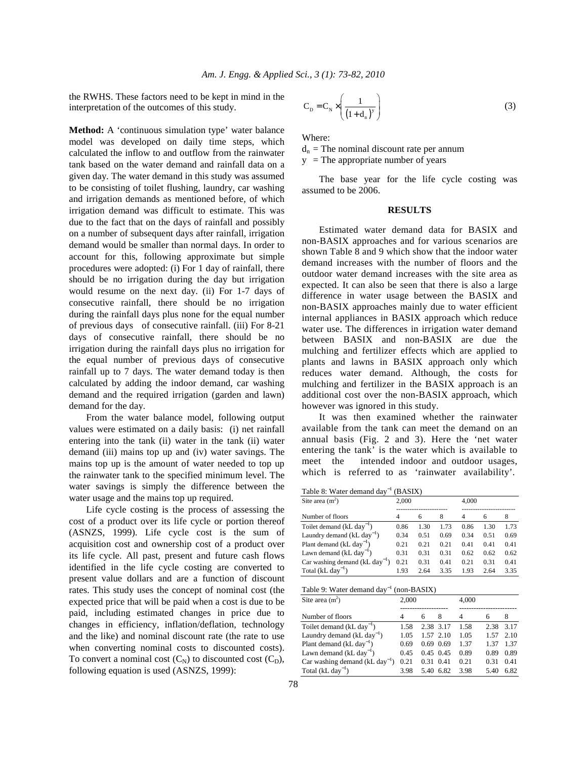the RWHS. These factors need to be kept in mind in the interpretation of the outcomes of this study.

**Method:** A 'continuous simulation type' water balance model was developed on daily time steps, which calculated the inflow to and outflow from the rainwater tank based on the water demand and rainfall data on a given day. The water demand in this study was assumed to be consisting of toilet flushing, laundry, car washing and irrigation demands as mentioned before, of which irrigation demand was difficult to estimate. This was due to the fact that on the days of rainfall and possibly on a number of subsequent days after rainfall, irrigation demand would be smaller than normal days. In order to account for this, following approximate but simple procedures were adopted: (i) For 1 day of rainfall, there should be no irrigation during the day but irrigation would resume on the next day. (ii) For 1-7 days of consecutive rainfall, there should be no irrigation during the rainfall days plus none for the equal number of previous days of consecutive rainfall. (iii) For 8-21 days of consecutive rainfall, there should be no irrigation during the rainfall days plus no irrigation for the equal number of previous days of consecutive rainfall up to 7 days. The water demand today is then calculated by adding the indoor demand, car washing demand and the required irrigation (garden and lawn) demand for the day.

 From the water balance model, following output values were estimated on a daily basis: (i) net rainfall entering into the tank (ii) water in the tank (ii) water demand (iii) mains top up and (iv) water savings. The mains top up is the amount of water needed to top up the rainwater tank to the specified minimum level. The water savings is simply the difference between the water usage and the mains top up required.

 Life cycle costing is the process of assessing the cost of a product over its life cycle or portion thereof (ASNZS, 1999). Life cycle cost is the sum of acquisition cost and ownership cost of a product over its life cycle. All past, present and future cash flows identified in the life cycle costing are converted to present value dollars and are a function of discount rates. This study uses the concept of nominal cost (the expected price that will be paid when a cost is due to be paid, including estimated changes in price due to changes in efficiency, inflation/deflation, technology and the like) and nominal discount rate (the rate to use when converting nominal costs to discounted costs). To convert a nominal cost  $(C_N)$  to discounted cost  $(C_D)$ , following equation is used (ASNZS, 1999):

$$
C_{\rm p} = C_{\rm N} \times \left(\frac{1}{\left(1 + d_{\rm n}\right)^y}\right) \tag{3}
$$

Where:

 $d_n$  = The nominal discount rate per annum

 $y =$ The appropriate number of years

 The base year for the life cycle costing was assumed to be 2006.

#### **RESULTS**

 Estimated water demand data for BASIX and non-BASIX approaches and for various scenarios are shown Table 8 and 9 which show that the indoor water demand increases with the number of floors and the outdoor water demand increases with the site area as expected. It can also be seen that there is also a large difference in water usage between the BASIX and non-BASIX approaches mainly due to water efficient internal appliances in BASIX approach which reduce water use. The differences in irrigation water demand between BASIX and non-BASIX are due the mulching and fertilizer effects which are applied to plants and lawns in BASIX approach only which reduces water demand. Although, the costs for mulching and fertilizer in the BASIX approach is an additional cost over the non-BASIX approach, which however was ignored in this study.

 It was then examined whether the rainwater available from the tank can meet the demand on an annual basis (Fig. 2 and 3). Here the 'net water entering the tank' is the water which is available to meet the intended indoor and outdoor usages, which is referred to as 'rainwater availability'.

Table 8: Water demand day<sup>-1</sup> (BASIX)

| Site area $(m2)$                           | 2,000 |      |      | 4,000 |      |      |
|--------------------------------------------|-------|------|------|-------|------|------|
| Number of floors                           | 4     | 6    | 8    | 4     | 6    | 8    |
| Toilet demand (kL day <sup>-1</sup> )      | 0.86  | 1.30 | 1.73 | 0.86  | 1.30 | 1.73 |
| Laundry demand $(kL \, \text{day}^{-1})$   | 0.34  | 0.51 | 0.69 | 0.34  | 0.51 | 0.69 |
| Plant demand $(kL \, \text{day}^{-1})$     | 0.21  | 0.21 | 0.21 | 0.41  | 0.41 | 0.41 |
| Lawn demand $(kL \, \text{day}^{-1})$      | 0.31  | 0.31 | 0.31 | 0.62  | 0.62 | 0.62 |
| Car washing demand $(kL \text{ day}^{-1})$ | 0.21  | 0.31 | 0.41 | 0.21  | 0.31 | 0.41 |
| Total $(kL \, \text{day}^{-1})$            | 1.93  | 2.64 | 3.35 | 1.93  | 2.64 | 3.35 |

|  |  | Table 9: Water demand $day^{-1}$ (non-BASIX) |
|--|--|----------------------------------------------|
|  |  |                                              |

| Site area $(m2)$                             | 2,000 |             |      | 4,000 |      |      |
|----------------------------------------------|-------|-------------|------|-------|------|------|
|                                              |       |             |      |       |      |      |
| Number of floors                             | 4     |             | 8    |       |      | 8    |
| Toilet demand ( $kL$ day <sup>-1</sup> )     | 1.58  | 2.38 3.17   |      | 1.58  | 2.38 | 3.17 |
| Laundry demand $(kL \text{ day}^{-1})$       | 1.05  | 1.57 2.10   |      | 1.05  | 1.57 | 2.10 |
| Plant demand $(kL \, \text{day}^{-1})$       | 0.69  | $0.69$ 0.69 |      | 1.37  | 1.37 | 1.37 |
| Lawn demand $(kL \, \text{day}^{-1})$        | 0.45  | $0.45$ 0.45 |      | 0.89  | 0.89 | 0.89 |
| Car washing demand $(kL \, \text{day}^{-1})$ | 0.21  | 0.31        | 0.41 | 0.21  | 0.31 | 0.41 |
| Total $(kL \text{ day}^{-1})$                | 3.98  | 5.40        | 6.82 | 3.98  | 5.40 | 6.82 |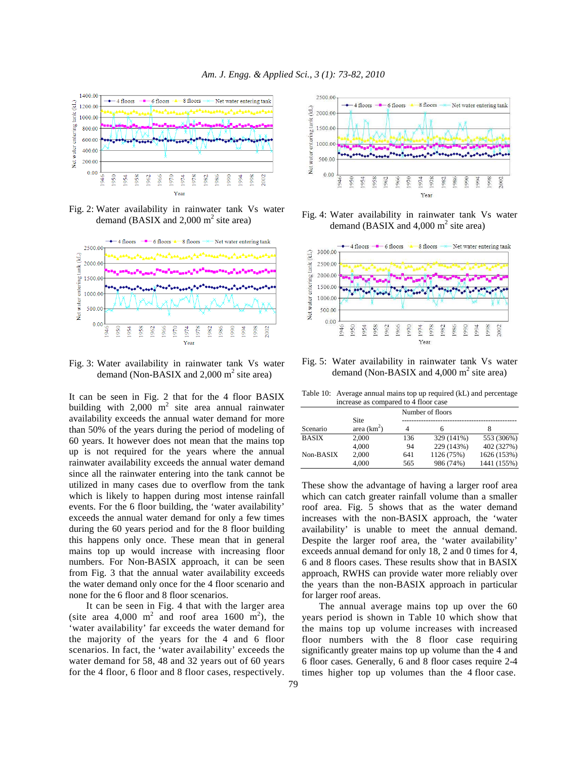

Fig. 2: Water availability in rainwater tank Vs water demand (BASIX and  $2,000 \text{ m}^2$  site area)



Fig. 3: Water availability in rainwater tank Vs water demand (Non-BASIX and  $2,000 \text{ m}^2$  site area)

It can be seen in Fig. 2 that for the 4 floor BASIX building with  $2,000 \text{ m}^2$  site area annual rainwater availability exceeds the annual water demand for more than 50% of the years during the period of modeling of 60 years. It however does not mean that the mains top up is not required for the years where the annual rainwater availability exceeds the annual water demand since all the rainwater entering into the tank cannot be utilized in many cases due to overflow from the tank which is likely to happen during most intense rainfall events. For the 6 floor building, the 'water availability' exceeds the annual water demand for only a few times during the 60 years period and for the 8 floor building this happens only once. These mean that in general mains top up would increase with increasing floor numbers. For Non-BASIX approach, it can be seen from Fig. 3 that the annual water availability exceeds the water demand only once for the 4 floor scenario and none for the 6 floor and 8 floor scenarios.

 It can be seen in Fig. 4 that with the larger area (site area  $4,000 \text{ m}^2$  and roof area 1600 m<sup>2</sup>), the 'water availability' far exceeds the water demand for the majority of the years for the 4 and 6 floor scenarios. In fact, the 'water availability' exceeds the water demand for 58, 48 and 32 years out of 60 years for the 4 floor, 6 floor and 8 floor cases, respectively.



Fig. 4: Water availability in rainwater tank Vs water demand (BASIX and  $4,000 \text{ m}^2$  site area)



Fig. 5: Water availability in rainwater tank Vs water demand (Non-BASIX and  $4,000 \text{ m}^2$  site area)

Table 10: Average annual mains top up required (kL) and percentage

| increase as compared to 4 floor case |               |                  |            |             |  |  |
|--------------------------------------|---------------|------------------|------------|-------------|--|--|
|                                      |               | Number of floors |            |             |  |  |
|                                      | Site          |                  |            |             |  |  |
| Scenario                             | area $(km^2)$ |                  | 6          | 8           |  |  |
| <b>BASIX</b>                         | 2,000         | 136              | 329 (141%) | 553 (306%)  |  |  |
|                                      | 4,000         | 94               | 229 (143%) | 402 (327%)  |  |  |
| Non-BASIX                            | 2,000         | 641              | 1126 (75%) | 1626 (153%) |  |  |
|                                      | 4,000         | 565              | 986 (74%)  | 1441 (155%) |  |  |

These show the advantage of having a larger roof area which can catch greater rainfall volume than a smaller roof area. Fig. 5 shows that as the water demand increases with the non-BASIX approach, the 'water availability' is unable to meet the annual demand. Despite the larger roof area, the 'water availability' exceeds annual demand for only 18, 2 and 0 times for 4, 6 and 8 floors cases. These results show that in BASIX approach, RWHS can provide water more reliably over the years than the non-BASIX approach in particular for larger roof areas.

 The annual average mains top up over the 60 years period is shown in Table 10 which show that the mains top up volume increases with increased floor numbers with the 8 floor case requiring significantly greater mains top up volume than the 4 and 6 floor cases. Generally, 6 and 8 floor cases require 2-4 times higher top up volumes than the 4 floor case.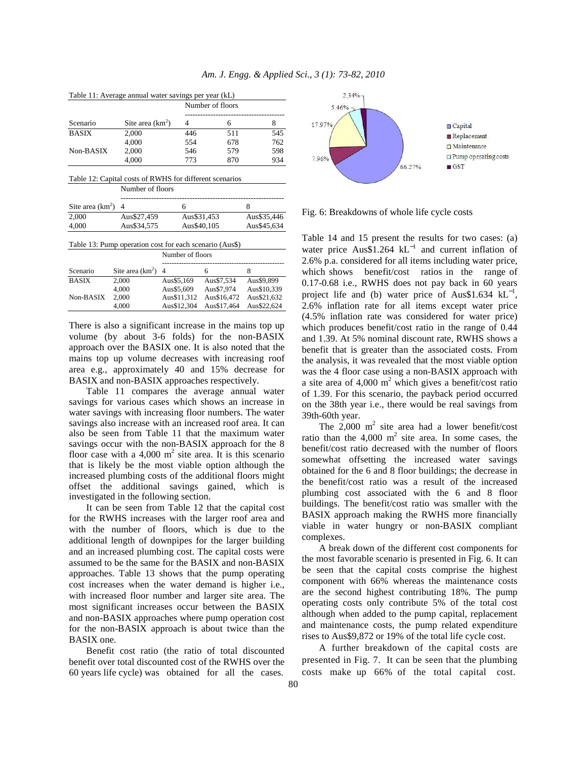|              |                    | Number of floors |     |     |
|--------------|--------------------|------------------|-----|-----|
| Scenario     | Site area $(km^2)$ |                  |     | 8   |
| <b>BASIX</b> | 2.000              | 446              | 511 | 545 |
|              | 4.000              | 554              | 678 | 762 |
| Non-BASIX    | 2,000              | 546              | 579 | 598 |
|              | 4.000              | 773              | 870 | 934 |

|  |  |  | Am. J. Engg. & Applied Sci., 3 (1): 73-82, 2010 |
|--|--|--|-------------------------------------------------|
|--|--|--|-------------------------------------------------|

Table 12: Capital costs of RWHS for different scenarios Number of floors

|                      | 1.9411001.9110010 |             |             |  |  |  |
|----------------------|-------------------|-------------|-------------|--|--|--|
|                      |                   |             |             |  |  |  |
| Site area $(km^2)$ 4 |                   | h           |             |  |  |  |
| 2.000                | Aus\$27.459       | Aus\$31.453 | Aus\$35,446 |  |  |  |
| 4,000                | Aus\$34.575       | Aus\$40.105 | Aus\$45.634 |  |  |  |

Table 13: Pump operation cost for each scenario (Aus\$)

|              |                      | Number of floors |             |             |  |
|--------------|----------------------|------------------|-------------|-------------|--|
| Scenario     | Site area $(km^2)$ 4 |                  | 6           |             |  |
| <b>BASIX</b> | 2.000                | Aus\$5.169       | Aus\$7.534  | Aus\$9,899  |  |
|              | 4.000                | Aus\$5.609       | Aus\$7.974  | Aus\$10,339 |  |
| Non-BASIX    | 2.000                | Aus\$11.312      | Aus\$16.472 | Aus\$21.632 |  |
|              | 4,000                | Aus\$12.304      | Aus\$17.464 | Aus\$22.624 |  |

There is also a significant increase in the mains top up volume (by about 3-6 folds) for the non-BASIX approach over the BASIX one. It is also noted that the mains top up volume decreases with increasing roof area e.g., approximately 40 and 15% decrease for BASIX and non-BASIX approaches respectively.

 Table 11 compares the average annual water savings for various cases which shows an increase in water savings with increasing floor numbers. The water savings also increase with an increased roof area. It can also be seen from Table 11 that the maximum water savings occur with the non-BASIX approach for the 8 floor case with a 4,000  $m^2$  site area. It is this scenario that is likely be the most viable option although the increased plumbing costs of the additional floors might offset the additional savings gained, which is investigated in the following section.

 It can be seen from Table 12 that the capital cost for the RWHS increases with the larger roof area and with the number of floors, which is due to the additional length of downpipes for the larger building and an increased plumbing cost. The capital costs were assumed to be the same for the BASIX and non-BASIX approaches. Table 13 shows that the pump operating cost increases when the water demand is higher i.e., with increased floor number and larger site area. The most significant increases occur between the BASIX and non-BASIX approaches where pump operation cost for the non-BASIX approach is about twice than the BASIX one.

 Benefit cost ratio (the ratio of total discounted benefit over total discounted cost of the RWHS over the 60 years life cycle) was obtained for all the cases.



Fig. 6: Breakdowns of whole life cycle costs

Table 14 and 15 present the results for two cases: (a) water price Aus\$1.264  $kL^{-1}$  and current inflation of 2.6% p.a. considered for all items including water price, which shows benefit/cost ratios in the range of 0.17-0.68 i.e., RWHS does not pay back in 60 years project life and (b) water price of Aus\$1.634  $kL^{-1}$ , 2.6% inflation rate for all items except water price (4.5% inflation rate was considered for water price) which produces benefit/cost ratio in the range of 0.44 and 1.39. At 5% nominal discount rate, RWHS shows a benefit that is greater than the associated costs. From the analysis, it was revealed that the most viable option was the 4 floor case using a non-BASIX approach with a site area of  $4,000 \text{ m}^2$  which gives a benefit/cost ratio of 1.39. For this scenario, the payback period occurred on the 38th year i.e., there would be real savings from 39th-60th year.

The  $2,000 \text{ m}^2$  site area had a lower benefit/cost ratio than the  $4,000 \text{ m}^2$  site area. In some cases, the benefit/cost ratio decreased with the number of floors somewhat offsetting the increased water savings obtained for the 6 and 8 floor buildings; the decrease in the benefit/cost ratio was a result of the increased plumbing cost associated with the 6 and 8 floor buildings. The benefit/cost ratio was smaller with the BASIX approach making the RWHS more financially viable in water hungry or non-BASIX compliant complexes.

 A break down of the different cost components for the most favorable scenario is presented in Fig. 6. It can be seen that the capital costs comprise the highest component with 66% whereas the maintenance costs are the second highest contributing 18%. The pump operating costs only contribute 5% of the total cost although when added to the pump capital, replacement and maintenance costs, the pump related expenditure rises to Aus\$9,872 or 19% of the total life cycle cost.

 A further breakdown of the capital costs are presented in Fig. 7. It can be seen that the plumbing costs make up 66% of the total capital cost.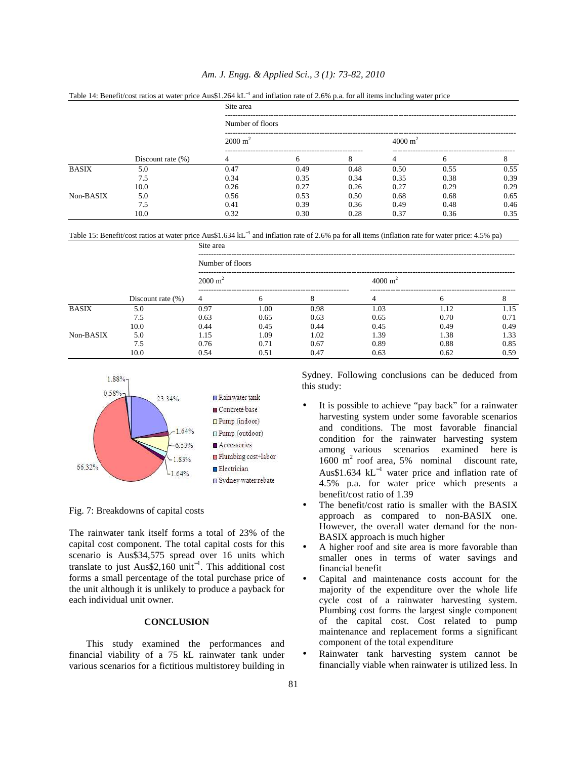|              |                      | Site area          |      |      |                    |      |      |  |
|--------------|----------------------|--------------------|------|------|--------------------|------|------|--|
|              | Discount rate $(\%)$ | Number of floors   |      |      |                    |      |      |  |
|              |                      | $2000 \text{ m}^2$ |      |      | $4000 \text{ m}^2$ |      |      |  |
|              |                      | 4                  |      |      |                    | h    |      |  |
| <b>BASIX</b> | 5.0                  | 0.47               | 0.49 | 0.48 | 0.50               | 0.55 | 0.55 |  |
|              | 7.5                  | 0.34               | 0.35 | 0.34 | 0.35               | 0.38 | 0.39 |  |
|              | 10.0                 | 0.26               | 0.27 | 0.26 | 0.27               | 0.29 | 0.29 |  |
| Non-BASIX    | 5.0                  | 0.56               | 0.53 | 0.50 | 0.68               | 0.68 | 0.65 |  |
|              | 7.5                  | 0.41               | 0.39 | 0.36 | 0.49               | 0.48 | 0.46 |  |
|              | 10.0                 | 0.32               | 0.30 | 0.28 | 0.37               | 0.36 | 0.35 |  |

### *Am. J. Engg. & Applied Sci., 3 (1): 73-82, 2010*

Table 14: Benefit/cost ratios at water price Aus\$1.264 kL<sup>-1</sup> and inflation rate of 2.6% p.a. for all items including water price

Table 15: Benefit/cost ratios at water price Aus\$1.634 kL<sup>-1</sup> and inflation rate of 2.6% pa for all items (inflation rate for water price: 4.5% pa)

|              |                      | Site area          |      |      |                    |      |      |  |  |  |
|--------------|----------------------|--------------------|------|------|--------------------|------|------|--|--|--|
|              |                      | Number of floors   |      |      |                    |      |      |  |  |  |
|              | Discount rate $(\%)$ | $2000 \text{ m}^2$ |      |      | $4000 \text{ m}^2$ |      |      |  |  |  |
|              |                      | 4                  |      |      | 4                  |      | 8    |  |  |  |
| <b>BASIX</b> | 5.0                  | 0.97               | 1.00 | 0.98 | 1.03               | 1.12 | 1.15 |  |  |  |
|              | 7.5                  | 0.63               | 0.65 | 0.63 | 0.65               | 0.70 | 0.71 |  |  |  |
|              | 10.0                 | 0.44               | 0.45 | 0.44 | 0.45               | 0.49 | 0.49 |  |  |  |
| Non-BASIX    | 5.0                  | 1.15               | 1.09 | 1.02 | 1.39               | 1.38 | 1.33 |  |  |  |
|              | 7.5                  | 0.76               | 0.71 | 0.67 | 0.89               | 0.88 | 0.85 |  |  |  |
|              | 10.0                 | 0.54               | 0.51 | 0.47 | 0.63               | 0.62 | 0.59 |  |  |  |



Fig. 7: Breakdowns of capital costs

The rainwater tank itself forms a total of 23% of the capital cost component. The total capital costs for this scenario is Aus\$34,575 spread over 16 units which translate to just Aus\$2,160 unit<sup>-1</sup>. This additional cost forms a small percentage of the total purchase price of the unit although it is unlikely to produce a payback for each individual unit owner.

### **CONCLUSION**

 This study examined the performances and financial viability of a 75 kL rainwater tank under various scenarios for a fictitious multistorey building in Sydney. Following conclusions can be deduced from this study:

- It is possible to achieve "pay back" for a rainwater harvesting system under some favorable scenarios and conditions. The most favorable financial condition for the rainwater harvesting system among various scenarios examined here is 1600 m<sup>2</sup> roof area, 5% nominal discount rate, Aus\$1.634  $kL^{-1}$  water price and inflation rate of 4.5% p.a. for water price which presents a benefit/cost ratio of 1.39
- The benefit/cost ratio is smaller with the BASIX approach as compared to non-BASIX one. However, the overall water demand for the non-BASIX approach is much higher
- A higher roof and site area is more favorable than smaller ones in terms of water savings and financial benefit
- Capital and maintenance costs account for the majority of the expenditure over the whole life cycle cost of a rainwater harvesting system. Plumbing cost forms the largest single component of the capital cost. Cost related to pump maintenance and replacement forms a significant component of the total expenditure
- Rainwater tank harvesting system cannot be financially viable when rainwater is utilized less. In